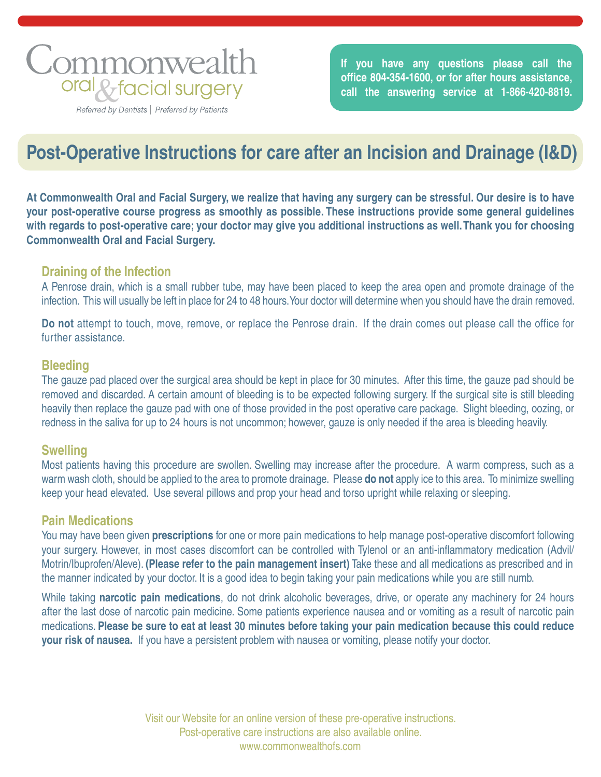# Commonwealth oral & facial surgery

Referred by Dentists | Preferred by Patients

**If you have any questions please call the** office 804-354-1600, or for after hours assistance, **call the answering service at 1-866-420-8819.**

# **Post-Operative Instructions for care after an Incision and Drainage (I&D)**

**At Commonwealth Oral and Facial Surgery, we realize that having any surgery can be stressful. Our desire is to have your post-operative course progress as smoothly as possible. These instructions provide some general guidelines with regards to post-operative care; your doctor may give you additional instructions as well. Thank you for choosing Commonwealth Oral and Facial Surgery.**

## **Draining of the Infection**

A Penrose drain, which is a small rubber tube, may have been placed to keep the area open and promote drainage of the infection. This will usually be left in place for 24 to 48 hours. Your doctor will determine when you should have the drain removed.

**Do not** attempt to touch, move, remove, or replace the Penrose drain. If the drain comes out please call the office for further assistance.

### **Bleeding**

The gauze pad placed over the surgical area should be kept in place for 30 minutes. After this time, the gauze pad should be removed and discarded. A certain amount of bleeding is to be expected following surgery. If the surgical site is still bleeding heavily then replace the gauze pad with one of those provided in the post operative care package. Slight bleeding, oozing, or redness in the saliva for up to 24 hours is not uncommon; however, gauze is only needed if the area is bleeding heavily.

### **Swelling**

Most patients having this procedure are swollen. Swelling may increase after the procedure. A warm compress, such as a warm wash cloth, should be applied to the area to promote drainage. Please **do not** apply ice to this area. To minimize swelling keep your head elevated. Use several pillows and prop your head and torso upright while relaxing or sleeping.

### **Pain Medications**

You may have been given **prescriptions** for one or more pain medications to help manage post-operative discomfort following your surgery. However, in most cases discomfort can be controlled with Tylenol or an anti-inflammatory medication (Advil/ Motrin/Ibuprofen/Aleve). **(Please refer to the pain management insert)** Take these and all medications as prescribed and in the manner indicated by your doctor. It is a good idea to begin taking your pain medications while you are still numb.

While taking **narcotic pain medications**, do not drink alcoholic beverages, drive, or operate any machinery for 24 hours after the last dose of narcotic pain medicine. Some patients experience nausea and or vomiting as a result of narcotic pain medications. **Please be sure to eat at least 30 minutes before taking your pain medication because this could reduce your risk of nausea.** If you have a persistent problem with nausea or vomiting, please notify your doctor.

> Visit our Website for an online version of these pre-operative instructions. Post-operative care instructions are also available online. www.commonwealthofs.com